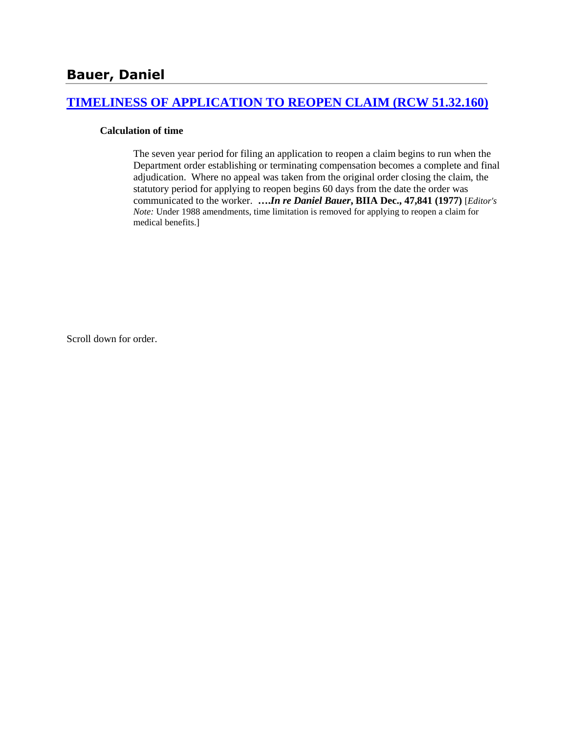### **[TIMELINESS OF APPLICATION TO REOPEN CLAIM \(RCW 51.32.160\)](http://www.biia.wa.gov/SDSubjectIndex.html#TIMELINESS_OF_APPLICATION_TO_REOPEN_CLAIM)**

### **Calculation of time**

The seven year period for filing an application to reopen a claim begins to run when the Department order establishing or terminating compensation becomes a complete and final adjudication. Where no appeal was taken from the original order closing the claim, the statutory period for applying to reopen begins 60 days from the date the order was communicated to the worker. **….***In re Daniel Bauer***, BIIA Dec., 47,841 (1977)** [*Editor's Note:* Under 1988 amendments, time limitation is removed for applying to reopen a claim for medical benefits.]

Scroll down for order.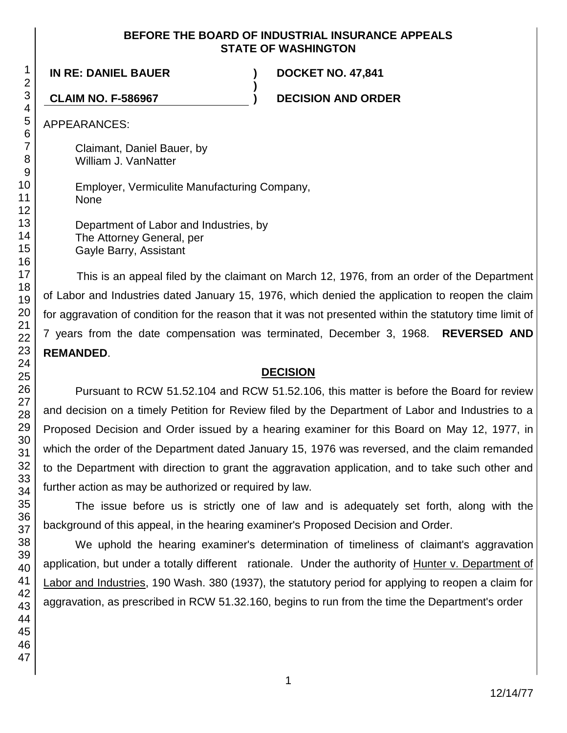### **BEFORE THE BOARD OF INDUSTRIAL INSURANCE APPEALS STATE OF WASHINGTON**

**)**

**IN RE: DANIEL BAUER ) DOCKET NO. 47,841**

**CLAIM NO. F-586967 ) DECISION AND ORDER**

APPEARANCES:

Claimant, Daniel Bauer, by William J. VanNatter

Employer, Vermiculite Manufacturing Company, None

Department of Labor and Industries, by The Attorney General, per Gayle Barry, Assistant

This is an appeal filed by the claimant on March 12, 1976, from an order of the Department of Labor and Industries dated January 15, 1976, which denied the application to reopen the claim for aggravation of condition for the reason that it was not presented within the statutory time limit of 7 years from the date compensation was terminated, December 3, 1968. **REVERSED AND REMANDED**.

# **DECISION**

Pursuant to RCW 51.52.104 and RCW 51.52.106, this matter is before the Board for review and decision on a timely Petition for Review filed by the Department of Labor and Industries to a Proposed Decision and Order issued by a hearing examiner for this Board on May 12, 1977, in which the order of the Department dated January 15, 1976 was reversed, and the claim remanded to the Department with direction to grant the aggravation application, and to take such other and further action as may be authorized or required by law.

The issue before us is strictly one of law and is adequately set forth, along with the background of this appeal, in the hearing examiner's Proposed Decision and Order.

We uphold the hearing examiner's determination of timeliness of claimant's aggravation application, but under a totally different rationale. Under the authority of Hunter v. Department of Labor and Industries, 190 Wash. 380 (1937), the statutory period for applying to reopen a claim for aggravation, as prescribed in RCW 51.32.160, begins to run from the time the Department's order

1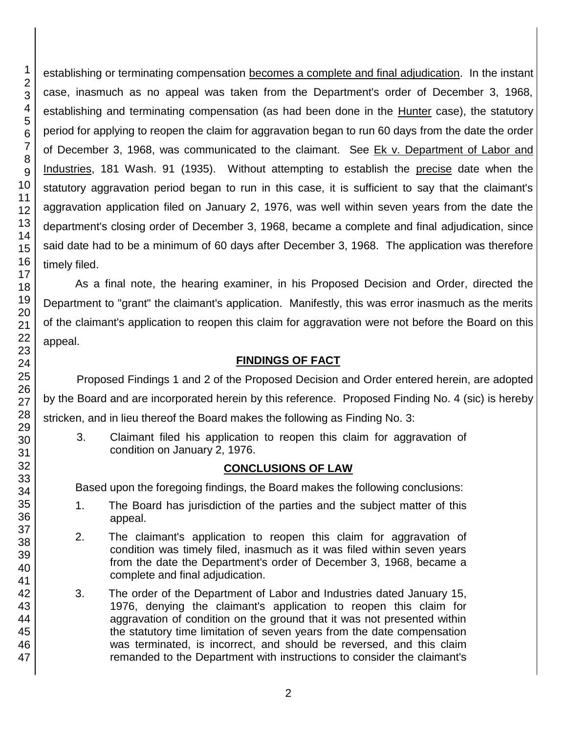46 47

1 2

establishing or terminating compensation becomes a complete and final adjudication. In the instant case, inasmuch as no appeal was taken from the Department's order of December 3, 1968, establishing and terminating compensation (as had been done in the Hunter case), the statutory period for applying to reopen the claim for aggravation began to run 60 days from the date the order of December 3, 1968, was communicated to the claimant. See Ek v. Department of Labor and Industries, 181 Wash. 91 (1935). Without attempting to establish the precise date when the statutory aggravation period began to run in this case, it is sufficient to say that the claimant's aggravation application filed on January 2, 1976, was well within seven years from the date the department's closing order of December 3, 1968, became a complete and final adjudication, since said date had to be a minimum of 60 days after December 3, 1968. The application was therefore

As a final note, the hearing examiner, in his Proposed Decision and Order, directed the Department to "grant" the claimant's application. Manifestly, this was error inasmuch as the merits of the claimant's application to reopen this claim for aggravation were not before the Board on this

## **FINDINGS OF FACT**

Proposed Findings 1 and 2 of the Proposed Decision and Order entered herein, are adopted by the Board and are incorporated herein by this reference. Proposed Finding No. 4 (sic) is hereby stricken, and in lieu thereof the Board makes the following as Finding No. 3:

3. Claimant filed his application to reopen this claim for aggravation of condition on January 2, 1976.

# **CONCLUSIONS OF LAW**

Based upon the foregoing findings, the Board makes the following conclusions:

- 1. The Board has jurisdiction of the parties and the subject matter of this appeal.
- 2. The claimant's application to reopen this claim for aggravation of condition was timely filed, inasmuch as it was filed within seven years from the date the Department's order of December 3, 1968, became a complete and final adjudication.
- 3. The order of the Department of Labor and Industries dated January 15, 1976, denying the claimant's application to reopen this claim for aggravation of condition on the ground that it was not presented within the statutory time limitation of seven years from the date compensation was terminated, is incorrect, and should be reversed, and this claim remanded to the Department with instructions to consider the claimant's